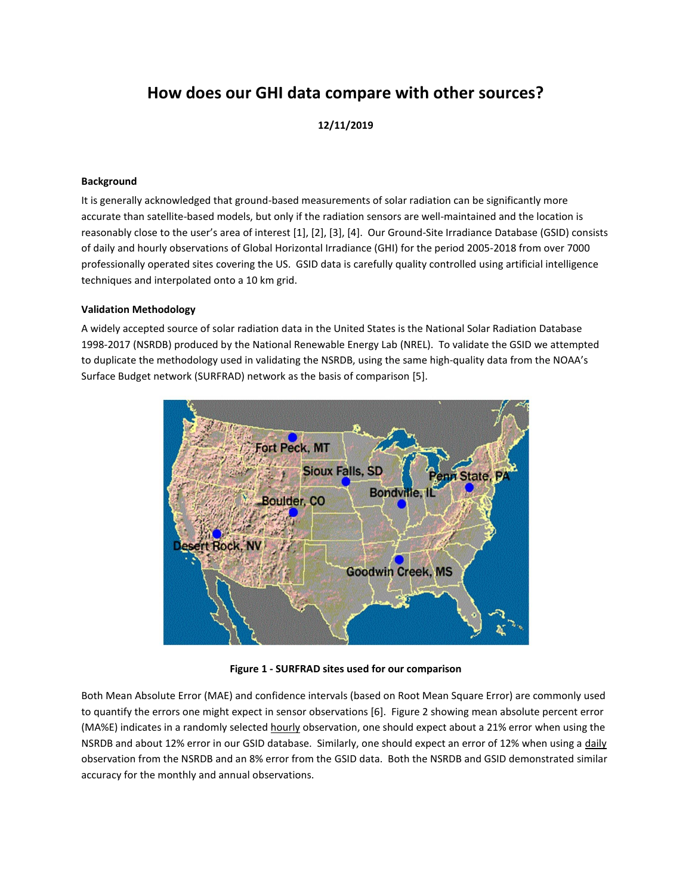# **How does our GHI data compare with other sources?**

# **12/11/2019**

#### **Background**

It is generally acknowledged that ground-based measurements of solar radiation can be significantly more accurate than satellite-based models, but only if the radiation sensors are well-maintained and the location is reasonably close to the user's area of interest [1], [2], [3], [4]. Our Ground-Site Irradiance Database (GSID) consists of daily and hourly observations of Global Horizontal Irradiance (GHI) for the period 2005-2018 from over 7000 professionally operated sites covering the US. GSID data is carefully quality controlled using artificial intelligence techniques and interpolated onto a 10 km grid.

#### **Validation Methodology**

A widely accepted source of solar radiation data in the United States is the National Solar Radiation Database 1998-2017 (NSRDB) produced by the National Renewable Energy Lab (NREL). To validate the GSID we attempted to duplicate the methodology used in validating the NSRDB, using the same high-quality data from the NOAA's Surface Budget network (SURFRAD) network as the basis of comparison [5].



**Figure 1 - SURFRAD sites used for our comparison**

Both Mean Absolute Error (MAE) and confidence intervals (based on Root Mean Square Error) are commonly used to quantify the errors one might expect in sensor observations [6]. Figure 2 showing mean absolute percent error (MA%E) indicates in a randomly selected hourly observation, one should expect about a 21% error when using the NSRDB and about 12% error in our GSID database. Similarly, one should expect an error of 12% when using a daily observation from the NSRDB and an 8% error from the GSID data. Both the NSRDB and GSID demonstrated similar accuracy for the monthly and annual observations.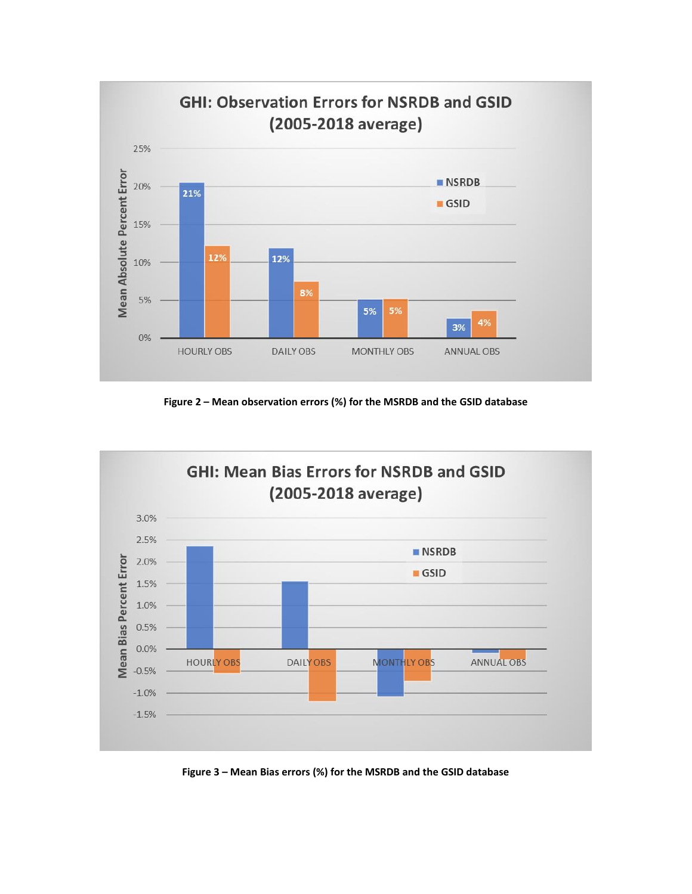

**Figure 2 – Mean observation errors (%) for the MSRDB and the GSID database**



**Figure 3 – Mean Bias errors (%) for the MSRDB and the GSID database**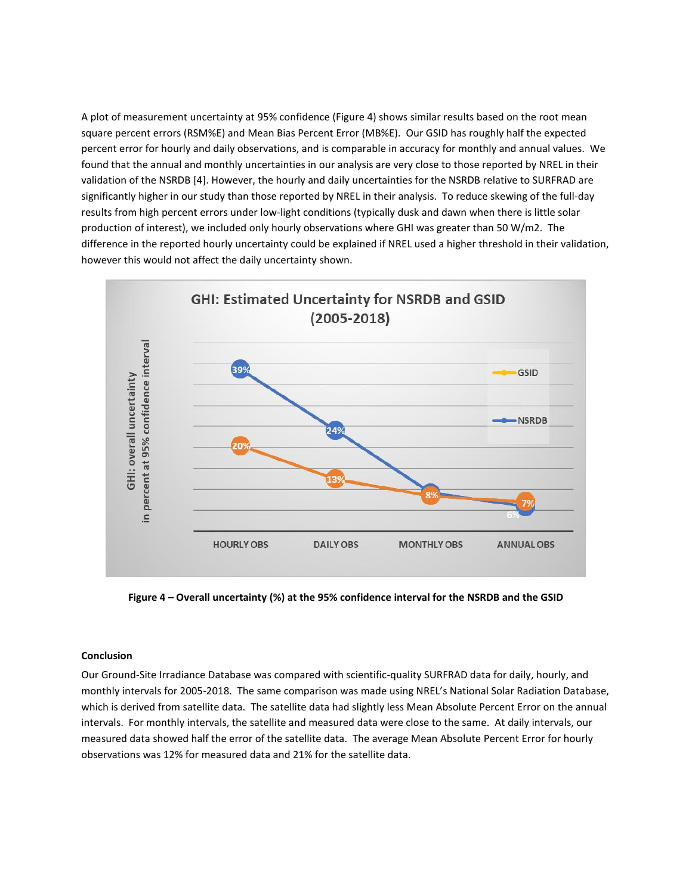A plot of measurement uncertainty at 95% confidence (Figure 4) shows similar results based on the root mean square percent errors (RSM%E) and Mean Bias Percent Error (MB%E). Our GSID has roughly half the expected percent error for hourly and daily observations, and is comparable in accuracy for monthly and annual values. We found that the annual and monthly uncertainties in our analysis are very close to those reported by NREL in their validation of the NSRDB [4]. However, the hourly and daily uncertainties for the NSRDB relative to SURFRAD are significantly higher in our study than those reported by NREL in their analysis. To reduce skewing of the full-day results from high percent errors under low-light conditions (typically dusk and dawn when there is little solar production of interest), we included only hourly observations where GHI was greater than 50 W/m2. The difference in the reported hourly uncertainty could be explained if NREL used a higher threshold in their validation, however this would not affect the daily uncertainty shown.



**Figure 4 – Overall uncertainty (%) at the 95% confidence interval for the NSRDB and the GSID**

## **Conclusion**

Our Ground-Site Irradiance Database was compared with scientific-quality SURFRAD data for daily, hourly, and monthly intervals for 2005-2018. The same comparison was made using NREL's National Solar Radiation Database, which is derived from satellite data. The satellite data had slightly less Mean Absolute Percent Error on the annual intervals. For monthly intervals, the satellite and measured data were close to the same. At daily intervals, our measured data showed half the error of the satellite data. The average Mean Absolute Percent Error for hourly observations was 12% for measured data and 21% for the satellite data.